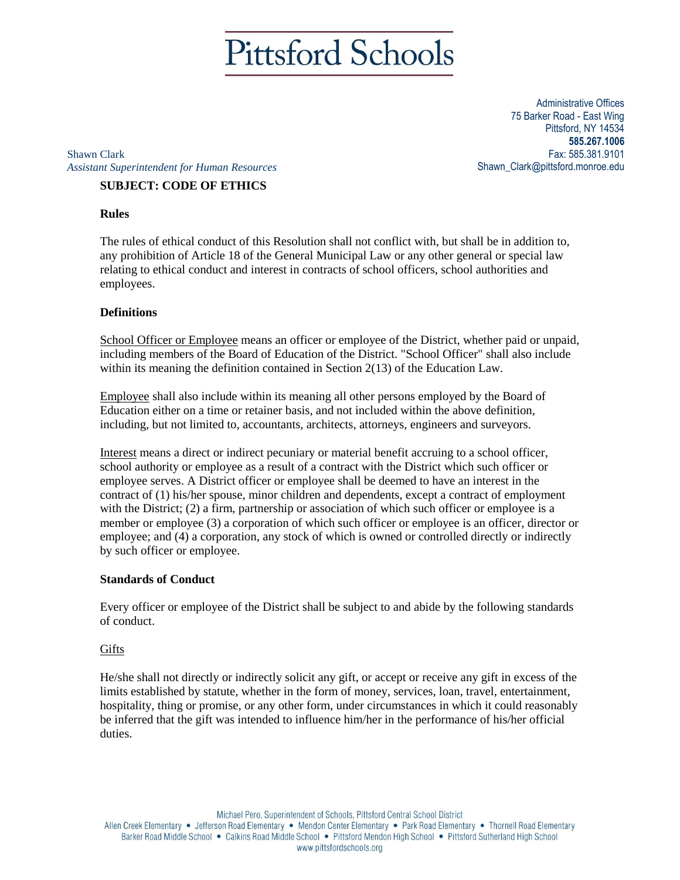# **Pittsford Schools**

Administrative Offices 75 Barker Road - East Wing Pittsford, NY 14534 **585.267.1006** Fax: 585.381.9101 Shawn\_Clark@pittsford.monroe.edu

Shawn Clark *Assistant Superintendent for Human Resources*

# **SUBJECT: CODE OF ETHICS**

# **Rules**

The rules of ethical conduct of this Resolution shall not conflict with, but shall be in addition to, any prohibition of Article 18 of the General Municipal Law or any other general or special law relating to ethical conduct and interest in contracts of school officers, school authorities and employees.

# **Definitions**

School Officer or Employee means an officer or employee of the District, whether paid or unpaid, including members of the Board of Education of the District. "School Officer" shall also include within its meaning the definition contained in Section 2(13) of the Education Law.

Employee shall also include within its meaning all other persons employed by the Board of Education either on a time or retainer basis, and not included within the above definition, including, but not limited to, accountants, architects, attorneys, engineers and surveyors.

Interest means a direct or indirect pecuniary or material benefit accruing to a school officer, school authority or employee as a result of a contract with the District which such officer or employee serves. A District officer or employee shall be deemed to have an interest in the contract of (1) his/her spouse, minor children and dependents, except a contract of employment with the District; (2) a firm, partnership or association of which such officer or employee is a member or employee (3) a corporation of which such officer or employee is an officer, director or employee; and (4) a corporation, any stock of which is owned or controlled directly or indirectly by such officer or employee.

# **Standards of Conduct**

Every officer or employee of the District shall be subject to and abide by the following standards of conduct.

# **Gifts**

He/she shall not directly or indirectly solicit any gift, or accept or receive any gift in excess of the limits established by statute, whether in the form of money, services, loan, travel, entertainment, hospitality, thing or promise, or any other form, under circumstances in which it could reasonably be inferred that the gift was intended to influence him/her in the performance of his/her official duties.